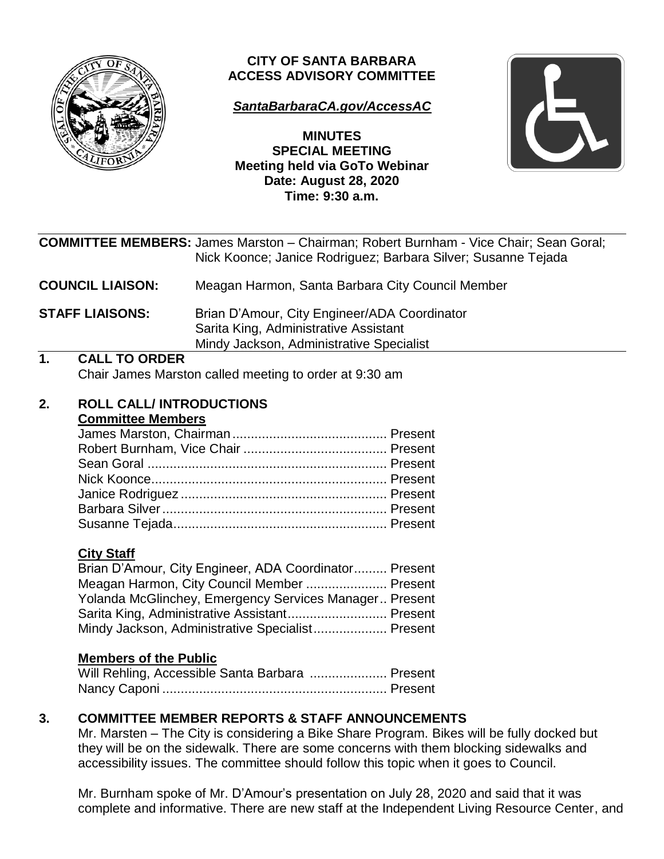

# **CITY OF SANTA BARBARA ACCESS ADVISORY COMMITTEE**

# *[SantaBarbaraCA.gov/AccessAC](https://www.santabarbaraca.gov/gov/brdcomm/ac/access/agendas.asp)*

**MINUTES SPECIAL MEETING Meeting held via GoTo Webinar Date: August 28, 2020 Time: 9:30 a.m.**



|                  |                                                                                 | <b>COMMITTEE MEMBERS:</b> James Marston - Chairman; Robert Burnham - Vice Chair; Sean Goral;<br>Nick Koonce; Janice Rodriguez; Barbara Silver; Susanne Tejada                                                                                                                                                                              |
|------------------|---------------------------------------------------------------------------------|--------------------------------------------------------------------------------------------------------------------------------------------------------------------------------------------------------------------------------------------------------------------------------------------------------------------------------------------|
|                  | <b>COUNCIL LIAISON:</b>                                                         | Meagan Harmon, Santa Barbara City Council Member                                                                                                                                                                                                                                                                                           |
|                  | <b>STAFF LIAISONS:</b>                                                          | Brian D'Amour, City Engineer/ADA Coordinator<br>Sarita King, Administrative Assistant<br>Mindy Jackson, Administrative Specialist                                                                                                                                                                                                          |
| $\overline{1}$ . | <b>CALL TO ORDER</b>                                                            |                                                                                                                                                                                                                                                                                                                                            |
|                  |                                                                                 | Chair James Marston called meeting to order at 9:30 am                                                                                                                                                                                                                                                                                     |
| 2.               | <b>ROLL CALL/INTRODUCTIONS</b><br><b>Committee Members</b><br><b>City Staff</b> | Brian D'Amour, City Engineer, ADA Coordinator Present<br>Meagan Harmon, City Council Member  Present                                                                                                                                                                                                                                       |
|                  |                                                                                 | Yolanda McGlinchey, Emergency Services Manager Present                                                                                                                                                                                                                                                                                     |
|                  |                                                                                 | Sarita King, Administrative Assistant Present                                                                                                                                                                                                                                                                                              |
|                  | Mindy Jackson, Administrative Specialist Present                                |                                                                                                                                                                                                                                                                                                                                            |
|                  | <b>Members of the Public</b>                                                    | Will Rehling, Accessible Santa Barbara  Present                                                                                                                                                                                                                                                                                            |
| 3.               |                                                                                 | <b>COMMITTEE MEMBER REPORTS &amp; STAFF ANNOUNCEMENTS</b><br>Mr. Marsten – The City is considering a Bike Share Program. Bikes will be fully docked but<br>they will be on the sidewalk. There are some concerns with them blocking sidewalks and<br>accessibility issues. The committee should follow this topic when it goes to Council. |

Mr. Burnham spoke of Mr. D'Amour's presentation on July 28, 2020 and said that it was complete and informative. There are new staff at the Independent Living Resource Center, and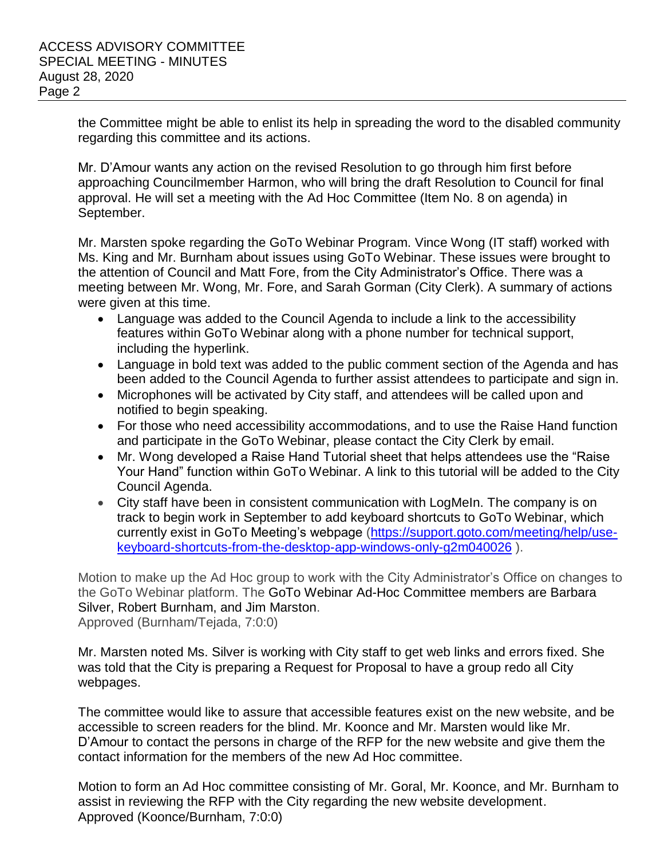the Committee might be able to enlist its help in spreading the word to the disabled community regarding this committee and its actions.

Mr. D'Amour wants any action on the revised Resolution to go through him first before approaching Councilmember Harmon, who will bring the draft Resolution to Council for final approval. He will set a meeting with the Ad Hoc Committee (Item No. 8 on agenda) in September.

Mr. Marsten spoke regarding the GoTo Webinar Program. Vince Wong (IT staff) worked with Ms. King and Mr. Burnham about issues using GoTo Webinar. These issues were brought to the attention of Council and Matt Fore, from the City Administrator's Office. There was a meeting between Mr. Wong, Mr. Fore, and Sarah Gorman (City Clerk). A summary of actions were given at this time.

- Language was added to the Council Agenda to include a link to the accessibility features within GoTo Webinar along with a phone number for technical support, including the hyperlink.
- Language in bold text was added to the public comment section of the Agenda and has been added to the Council Agenda to further assist attendees to participate and sign in.
- Microphones will be activated by City staff, and attendees will be called upon and notified to begin speaking.
- For those who need accessibility accommodations, and to use the Raise Hand function and participate in the GoTo Webinar, please contact the City Clerk by email.
- Mr. Wong developed a Raise Hand Tutorial sheet that helps attendees use the "Raise Your Hand" function within GoTo Webinar. A link to this tutorial will be added to the City Council Agenda.
- City staff have been in consistent communication with LogMeIn. The company is on track to begin work in September to add keyboard shortcuts to GoTo Webinar, which currently exist in GoTo Meeting's webpage [\(https://support.goto.com/meeting/help/use](https://support.goto.com/meeting/help/use-keyboard-shortcuts-from-the-desktop-app-windows-only-g2m040026)[keyboard-shortcuts-from-the-desktop-app-windows-only-g2m040026](https://support.goto.com/meeting/help/use-keyboard-shortcuts-from-the-desktop-app-windows-only-g2m040026) ).

Motion to make up the Ad Hoc group to work with the City Administrator's Office on changes to the GoTo Webinar platform. The GoTo Webinar Ad-Hoc Committee members are Barbara Silver, Robert Burnham, and Jim Marston. Approved (Burnham/Tejada, 7:0:0)

Mr. Marsten noted Ms. Silver is working with City staff to get web links and errors fixed. She was told that the City is preparing a Request for Proposal to have a group redo all City webpages.

The committee would like to assure that accessible features exist on the new website, and be accessible to screen readers for the blind. Mr. Koonce and Mr. Marsten would like Mr. D'Amour to contact the persons in charge of the RFP for the new website and give them the contact information for the members of the new Ad Hoc committee.

Motion to form an Ad Hoc committee consisting of Mr. Goral, Mr. Koonce, and Mr. Burnham to assist in reviewing the RFP with the City regarding the new website development. Approved (Koonce/Burnham, 7:0:0)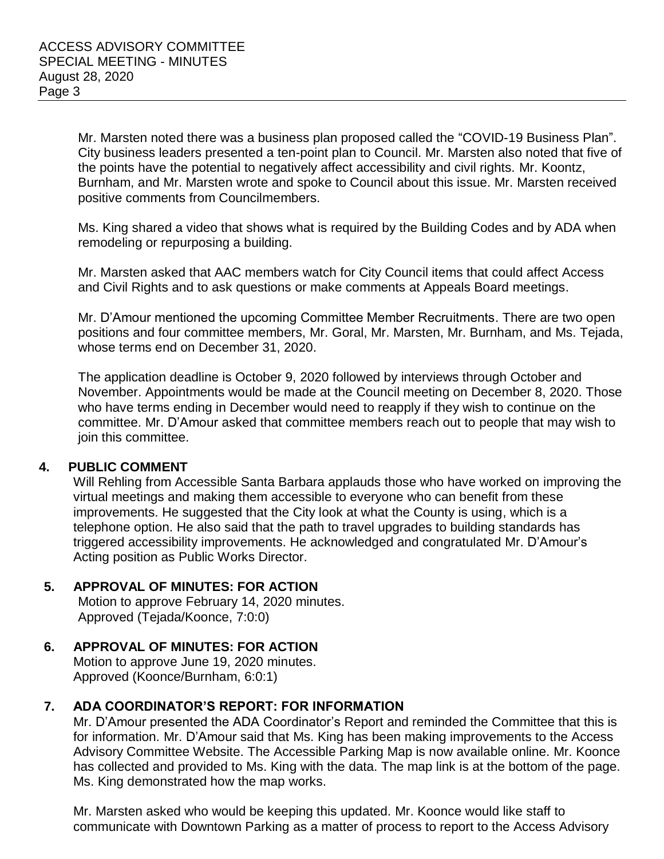Mr. Marsten noted there was a business plan proposed called the "COVID-19 Business Plan". City business leaders presented a ten-point plan to Council. Mr. Marsten also noted that five of the points have the potential to negatively affect accessibility and civil rights. Mr. Koontz, Burnham, and Mr. Marsten wrote and spoke to Council about this issue. Mr. Marsten received positive comments from Councilmembers.

Ms. King shared a video that shows what is required by the Building Codes and by ADA when remodeling or repurposing a building.

Mr. Marsten asked that AAC members watch for City Council items that could affect Access and Civil Rights and to ask questions or make comments at Appeals Board meetings.

Mr. D'Amour mentioned the upcoming Committee Member Recruitments. There are two open positions and four committee members, Mr. Goral, Mr. Marsten, Mr. Burnham, and Ms. Tejada, whose terms end on December 31, 2020.

The application deadline is October 9, 2020 followed by interviews through October and November. Appointments would be made at the Council meeting on December 8, 2020. Those who have terms ending in December would need to reapply if they wish to continue on the committee. Mr. D'Amour asked that committee members reach out to people that may wish to join this committee.

### **4. PUBLIC COMMENT**

Will Rehling from Accessible Santa Barbara applauds those who have worked on improving the virtual meetings and making them accessible to everyone who can benefit from these improvements. He suggested that the City look at what the County is using, which is a telephone option. He also said that the path to travel upgrades to building standards has triggered accessibility improvements. He acknowledged and congratulated Mr. D'Amour's Acting position as Public Works Director.

# **5. APPROVAL OF MINUTES: FOR ACTION**

Motion to approve February 14, 2020 minutes. Approved (Tejada/Koonce, 7:0:0)

# **6. APPROVAL OF MINUTES: FOR ACTION**

Motion to approve June 19, 2020 minutes. Approved (Koonce/Burnham, 6:0:1)

# **7. ADA COORDINATOR'S REPORT: FOR INFORMATION**

Mr. D'Amour presented the ADA Coordinator's Report and reminded the Committee that this is for information. Mr. D'Amour said that Ms. King has been making improvements to the Access Advisory Committee Website. The Accessible Parking Map is now available online. Mr. Koonce has collected and provided to Ms. King with the data. The map link is at the bottom of the page. Ms. King demonstrated how the map works.

Mr. Marsten asked who would be keeping this updated. Mr. Koonce would like staff to communicate with Downtown Parking as a matter of process to report to the Access Advisory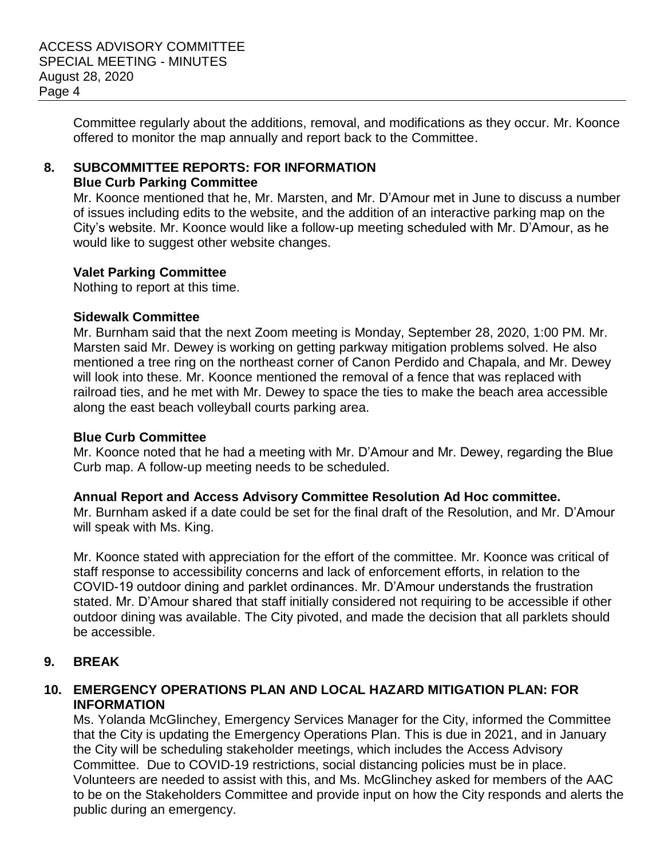Committee regularly about the additions, removal, and modifications as they occur. Mr. Koonce offered to monitor the map annually and report back to the Committee.

### **8. SUBCOMMITTEE REPORTS: FOR INFORMATION Blue Curb Parking Committee**

Mr. Koonce mentioned that he, Mr. Marsten, and Mr. D'Amour met in June to discuss a number of issues including edits to the website, and the addition of an interactive parking map on the City's website. Mr. Koonce would like a follow-up meeting scheduled with Mr. D'Amour, as he would like to suggest other website changes.

### **Valet Parking Committee**

Nothing to report at this time.

### **Sidewalk Committee**

Mr. Burnham said that the next Zoom meeting is Monday, September 28, 2020, 1:00 PM. Mr. Marsten said Mr. Dewey is working on getting parkway mitigation problems solved. He also mentioned a tree ring on the northeast corner of Canon Perdido and Chapala, and Mr. Dewey will look into these. Mr. Koonce mentioned the removal of a fence that was replaced with railroad ties, and he met with Mr. Dewey to space the ties to make the beach area accessible along the east beach volleyball courts parking area.

### **Blue Curb Committee**

Mr. Koonce noted that he had a meeting with Mr. D'Amour and Mr. Dewey, regarding the Blue Curb map. A follow-up meeting needs to be scheduled.

# **Annual Report and Access Advisory Committee Resolution Ad Hoc committee.**

Mr. Burnham asked if a date could be set for the final draft of the Resolution, and Mr. D'Amour will speak with Ms. King.

Mr. Koonce stated with appreciation for the effort of the committee. Mr. Koonce was critical of staff response to accessibility concerns and lack of enforcement efforts, in relation to the COVID-19 outdoor dining and parklet ordinances. Mr. D'Amour understands the frustration stated. Mr. D'Amour shared that staff initially considered not requiring to be accessible if other outdoor dining was available. The City pivoted, and made the decision that all parklets should be accessible.

# **9. BREAK**

### **10. EMERGENCY OPERATIONS PLAN AND LOCAL HAZARD MITIGATION PLAN: FOR INFORMATION**

Ms. Yolanda McGlinchey, Emergency Services Manager for the City, informed the Committee that the City is updating the Emergency Operations Plan. This is due in 2021, and in January the City will be scheduling stakeholder meetings, which includes the Access Advisory Committee. Due to COVID-19 restrictions, social distancing policies must be in place. Volunteers are needed to assist with this, and Ms. McGlinchey asked for members of the AAC to be on the Stakeholders Committee and provide input on how the City responds and alerts the public during an emergency.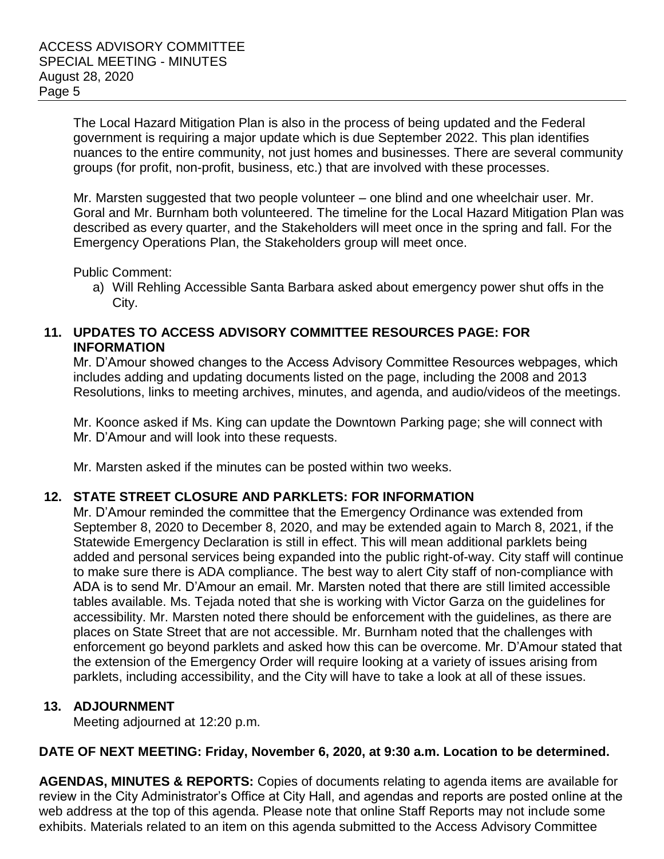The Local Hazard Mitigation Plan is also in the process of being updated and the Federal government is requiring a major update which is due September 2022. This plan identifies nuances to the entire community, not just homes and businesses. There are several community groups (for profit, non-profit, business, etc.) that are involved with these processes.

Mr. Marsten suggested that two people volunteer – one blind and one wheelchair user. Mr. Goral and Mr. Burnham both volunteered. The timeline for the Local Hazard Mitigation Plan was described as every quarter, and the Stakeholders will meet once in the spring and fall. For the Emergency Operations Plan, the Stakeholders group will meet once.

Public Comment:

a) Will Rehling Accessible Santa Barbara asked about emergency power shut offs in the City.

### **11. UPDATES TO ACCESS ADVISORY COMMITTEE RESOURCES PAGE: FOR INFORMATION**

Mr. D'Amour showed changes to the Access Advisory Committee Resources webpages, which includes adding and updating documents listed on the page, including the 2008 and 2013 Resolutions, links to meeting archives, minutes, and agenda, and audio/videos of the meetings.

Mr. Koonce asked if Ms. King can update the Downtown Parking page; she will connect with Mr. D'Amour and will look into these requests.

Mr. Marsten asked if the minutes can be posted within two weeks.

# **12. STATE STREET CLOSURE AND PARKLETS: FOR INFORMATION**

Mr. D'Amour reminded the committee that the Emergency Ordinance was extended from September 8, 2020 to December 8, 2020, and may be extended again to March 8, 2021, if the Statewide Emergency Declaration is still in effect. This will mean additional parklets being added and personal services being expanded into the public right-of-way. City staff will continue to make sure there is ADA compliance. The best way to alert City staff of non-compliance with ADA is to send Mr. D'Amour an email. Mr. Marsten noted that there are still limited accessible tables available. Ms. Tejada noted that she is working with Victor Garza on the guidelines for accessibility. Mr. Marsten noted there should be enforcement with the guidelines, as there are places on State Street that are not accessible. Mr. Burnham noted that the challenges with enforcement go beyond parklets and asked how this can be overcome. Mr. D'Amour stated that the extension of the Emergency Order will require looking at a variety of issues arising from parklets, including accessibility, and the City will have to take a look at all of these issues.

### **13. ADJOURNMENT**

Meeting adjourned at 12:20 p.m.

### **DATE OF NEXT MEETING: Friday, November 6, 2020, at 9:30 a.m. Location to be determined.**

**AGENDAS, MINUTES & REPORTS:** Copies of documents relating to agenda items are available for review in the City Administrator's Office at City Hall, and agendas and reports are posted online at the web address at the top of this agenda. Please note that online Staff Reports may not include some exhibits. Materials related to an item on this agenda submitted to the Access Advisory Committee